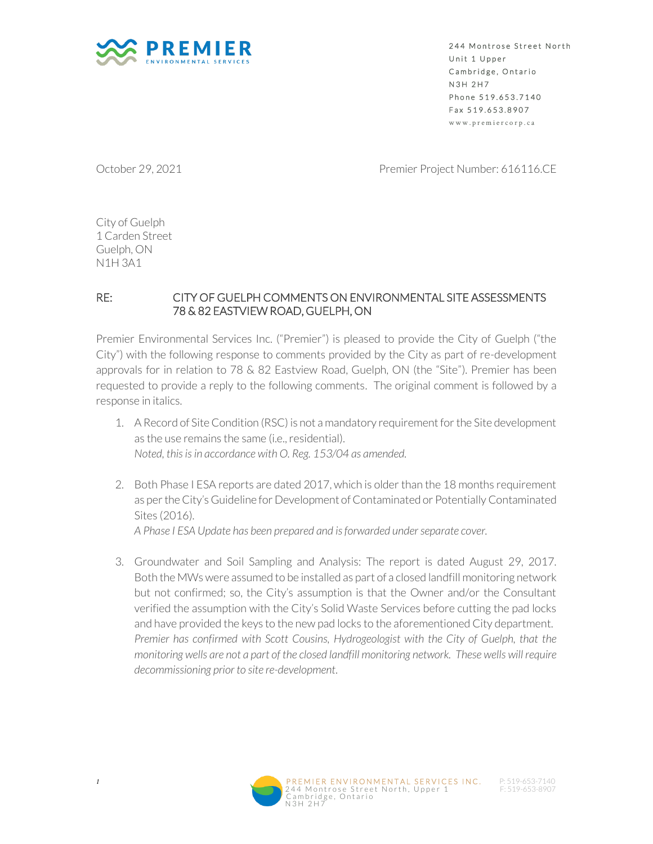

244 Montrose Street North Unit 1 Upper Cambridge, Ontario N 3 H 2 H 7 Phone 519.653.7140 Fax 519.653.8907 w w w . p r e m i e r c o r p . c a

October 29, 2021 **Premier Project Number: 616116.CE** 

City of Guelph 1 Carden Street Guelph, ON N1H 3A1

## RE: CITY OF GUELPH COMMENTS ON ENVIRONMENTAL SITE ASSESSMENTS 78 & 82 EASTVIEW ROAD, GUELPH, ON

Premier Environmental Services Inc. ("Premier") is pleased to provide the City of Guelph ("the City") with the following response to comments provided by the City as part of re-development approvals for in relation to 78 & 82 Eastview Road, Guelph, ON (the "Site"). Premier has been requested to provide a reply to the following comments. The original comment is followed by a response in italics.

- 1. A Record of Site Condition (RSC) is not a mandatory requirement for the Site development as the use remains the same (i.e., residential). *Noted, this is in accordance with O. Reg. 153/04 as amended.*
- 2. Both Phase I ESA reports are dated 2017, which is older than the 18 months requirement as per the City's Guideline for Development of Contaminated or Potentially Contaminated Sites (2016).

*A Phase I ESA Update has been prepared and is forwarded under separate cover.*

3. Groundwater and Soil Sampling and Analysis: The report is dated August 29, 2017. Both the MWs were assumed to be installed as part of a closed landfill monitoring network but not confirmed; so, the City's assumption is that the Owner and/or the Consultant verified the assumption with the City's Solid Waste Services before cutting the pad locks and have provided the keys to the new pad locks to the aforementioned City department. *Premier has confirmed with Scott Cousins, Hydrogeologist with the City of Guelph, that the monitoring wells are not a part of the closed landfill monitoring network. These wells will require decommissioning prior to site re-development*.